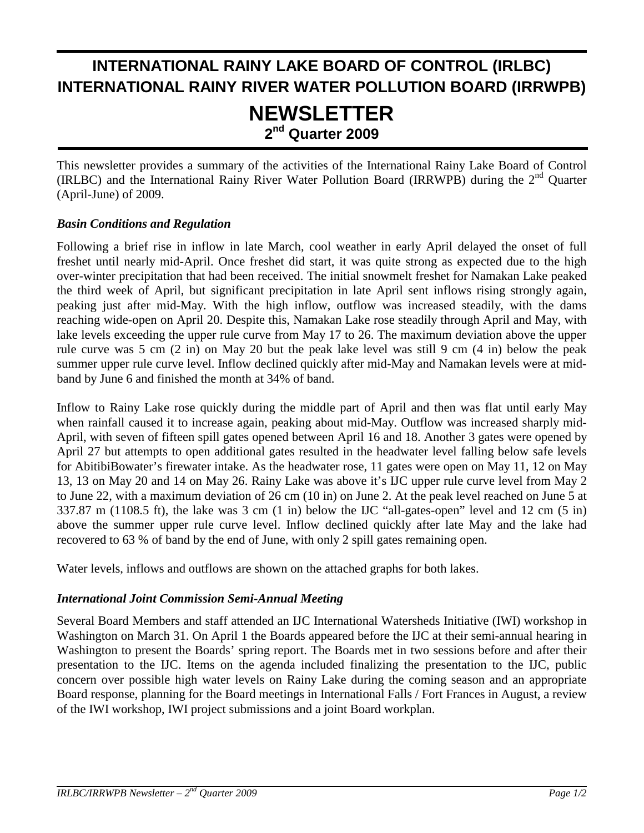# **INTERNATIONAL RAINY LAKE BOARD OF CONTROL (IRLBC) INTERNATIONAL RAINY RIVER WATER POLLUTION BOARD (IRRWPB) NEWSLETTER 2nd Quarter 2009**

This newsletter provides a summary of the activities of the International Rainy Lake Board of Control (IRLBC) and the International Rainy River Water Pollution Board (IRRWPB) during the 2<sup>nd</sup> Ouarter (April-June) of 2009.

#### *Basin Conditions and Regulation*

j

Following a brief rise in inflow in late March, cool weather in early April delayed the onset of full freshet until nearly mid-April. Once freshet did start, it was quite strong as expected due to the high over-winter precipitation that had been received. The initial snowmelt freshet for Namakan Lake peaked the third week of April, but significant precipitation in late April sent inflows rising strongly again, peaking just after mid-May. With the high inflow, outflow was increased steadily, with the dams reaching wide-open on April 20. Despite this, Namakan Lake rose steadily through April and May, with lake levels exceeding the upper rule curve from May 17 to 26. The maximum deviation above the upper rule curve was 5 cm (2 in) on May 20 but the peak lake level was still 9 cm (4 in) below the peak summer upper rule curve level. Inflow declined quickly after mid-May and Namakan levels were at midband by June 6 and finished the month at 34% of band.

Inflow to Rainy Lake rose quickly during the middle part of April and then was flat until early May when rainfall caused it to increase again, peaking about mid-May. Outflow was increased sharply mid-April, with seven of fifteen spill gates opened between April 16 and 18. Another 3 gates were opened by April 27 but attempts to open additional gates resulted in the headwater level falling below safe levels for AbitibiBowater's firewater intake. As the headwater rose, 11 gates were open on May 11, 12 on May 13, 13 on May 20 and 14 on May 26. Rainy Lake was above it's IJC upper rule curve level from May 2 to June 22, with a maximum deviation of 26 cm (10 in) on June 2. At the peak level reached on June 5 at 337.87 m (1108.5 ft), the lake was 3 cm (1 in) below the IJC "all-gates-open" level and 12 cm (5 in) above the summer upper rule curve level. Inflow declined quickly after late May and the lake had recovered to 63 % of band by the end of June, with only 2 spill gates remaining open.

Water levels, inflows and outflows are shown on the attached graphs for both lakes.

#### *International Joint Commission Semi-Annual Meeting*

Several Board Members and staff attended an IJC International Watersheds Initiative (IWI) workshop in Washington on March 31. On April 1 the Boards appeared before the IJC at their semi-annual hearing in Washington to present the Boards' spring report. The Boards met in two sessions before and after their presentation to the IJC. Items on the agenda included finalizing the presentation to the IJC, public concern over possible high water levels on Rainy Lake during the coming season and an appropriate Board response, planning for the Board meetings in International Falls / Fort Frances in August, a review of the IWI workshop, IWI project submissions and a joint Board workplan.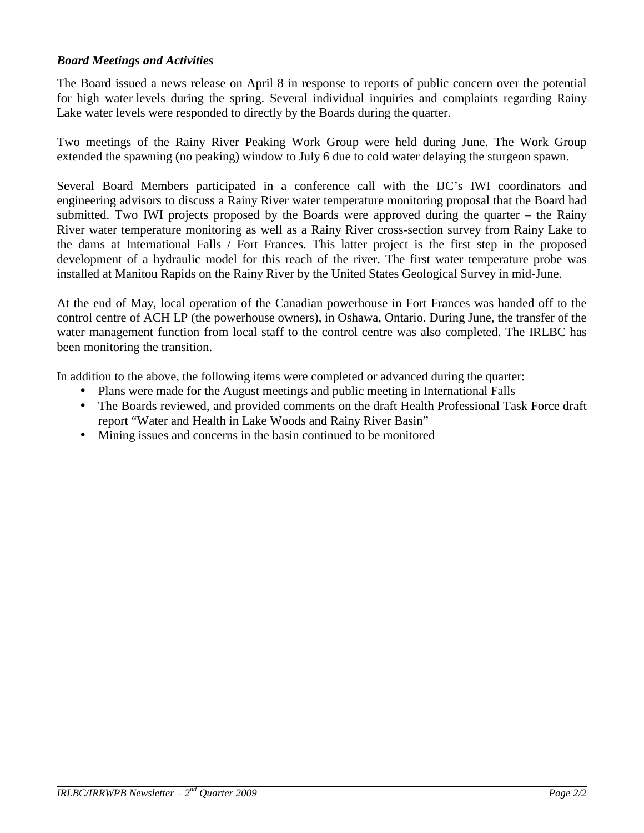#### *Board Meetings and Activities*

The Board issued a news release on April 8 in response to reports of public concern over the potential for high water levels during the spring. Several individual inquiries and complaints regarding Rainy Lake water levels were responded to directly by the Boards during the quarter.

Two meetings of the Rainy River Peaking Work Group were held during June. The Work Group extended the spawning (no peaking) window to July 6 due to cold water delaying the sturgeon spawn.

Several Board Members participated in a conference call with the IJC's IWI coordinators and engineering advisors to discuss a Rainy River water temperature monitoring proposal that the Board had submitted. Two IWI projects proposed by the Boards were approved during the quarter – the Rainy River water temperature monitoring as well as a Rainy River cross-section survey from Rainy Lake to the dams at International Falls / Fort Frances. This latter project is the first step in the proposed development of a hydraulic model for this reach of the river. The first water temperature probe was installed at Manitou Rapids on the Rainy River by the United States Geological Survey in mid-June.

At the end of May, local operation of the Canadian powerhouse in Fort Frances was handed off to the control centre of ACH LP (the powerhouse owners), in Oshawa, Ontario. During June, the transfer of the water management function from local staff to the control centre was also completed. The IRLBC has been monitoring the transition.

In addition to the above, the following items were completed or advanced during the quarter:

- Plans were made for the August meetings and public meeting in International Falls
- The Boards reviewed, and provided comments on the draft Health Professional Task Force draft report "Water and Health in Lake Woods and Rainy River Basin"
- Mining issues and concerns in the basin continued to be monitored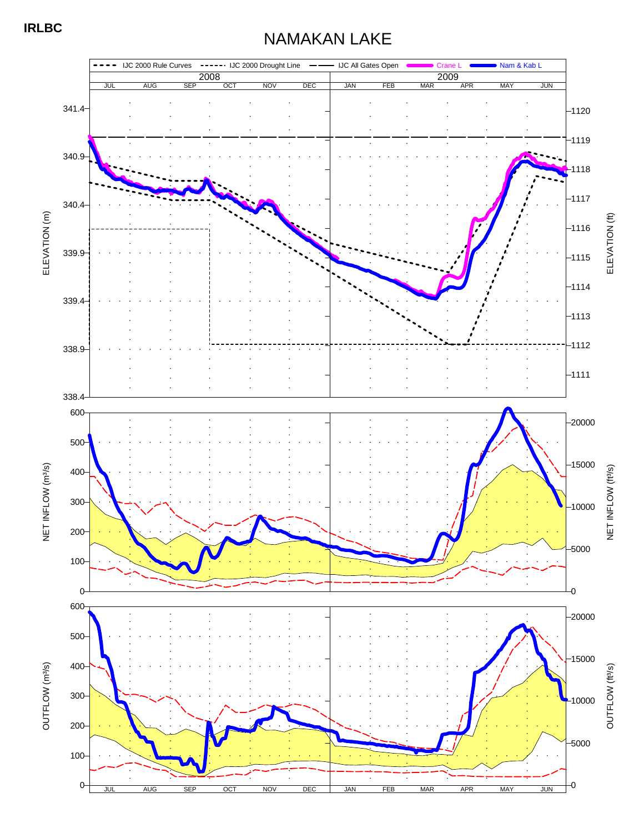## NAMAKAN LAKE